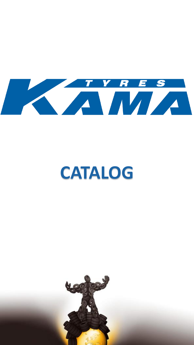

# **CATALOG**

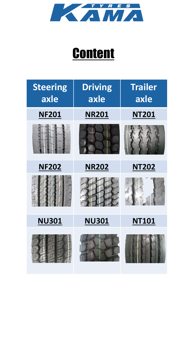

### **Content**

| <b>Steering</b><br>axle | <b>Driving</b><br>axle | <b>Trailer</b><br>axle |
|-------------------------|------------------------|------------------------|
| <b>NF201</b>            | <b>NR201</b>           | <b>NT201</b>           |
|                         |                        |                        |
| <b>NF202</b>            | <b>NR202</b>           | <b>NT202</b>           |
|                         |                        |                        |
| <b>NU301</b>            | <b>NU301</b>           | <b>NT101</b>           |
|                         |                        |                        |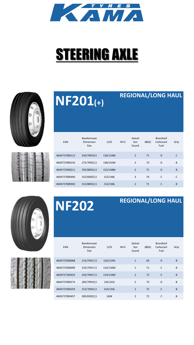

## **STEERING AXLE**







### **REGIONAL/LONG HAUL**

| EAN           | Bandenmaat<br>Dimension<br><b>Size</b> | LI/SI    | $M+S$ | Geluid<br>Son<br>Sound | dB(A) | <b>Brandstof</b><br>Carburant<br>Fuel | Grip         |
|---------------|----------------------------------------|----------|-------|------------------------|-------|---------------------------------------|--------------|
| 4604727000112 | 245/70R19,5                            | 136/134M |       | $\overline{2}$         | 71    | D                                     | C            |
| 4604727000143 | 275/70R22.5                            | 148/145M |       | 2                      | 73    | D                                     | B            |
| 4604727000211 | 295/80R22.5                            | 152/148M |       | $\overline{2}$         | 71    | D                                     | B            |
| 4604727000440 | 315/60R22,5                            | 152/148L |       | 3                      | 74    | C                                     | $\mathsf{C}$ |
| 4604727000303 | 315/80R22,5                            | 152/148L |       | $\mathcal{P}$          | 71    | $\mathsf{C}$                          | B            |





## **NF202 REGIONAL/LONG HAUL**

| EAN           | Bandenmaat<br>Dimension<br><b>Size</b> | LI/SI    | $M+S$ | Geluid<br>Son<br>Sound | dB(A) | <b>Brandstof</b><br>Carburant<br>Fuel | Grip |
|---------------|----------------------------------------|----------|-------|------------------------|-------|---------------------------------------|------|
| 4604727000068 | 215/75R17,5                            | 126/124% |       | $\mathbf{1}$           | 69    | D                                     | B    |
| 4604727000099 | 235/75R17,5                            | 132/130M |       | $\mathbf{1}$           | 71    | $\mathsf{C}$                          | B    |
| 4604727185923 | 245/70R17,5                            | 134/134M |       | $\overline{2}$         | 72    | E                                     | B    |
| 4604727000174 | 285/70R19,5                            | 145/143J |       | $\overline{2}$         | 73    | D                                     | B    |
| 4604727000259 | 315/70R22,5                            | 154/150L |       | $\overline{2}$         | 72    | $\mathsf{C}$                          | B    |
| 4604727000457 | 385/65R22,5                            | 160K     |       | $\overline{2}$         | 72    | C                                     | B    |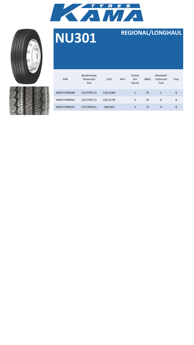



| EAN           | Bandenmaat<br>Dimension<br><b>Size</b> | LI/SI    | $M+S$ | Geluid<br>Son<br>Sound | dB(A) | <b>Brandstof</b><br>Carburant<br>Fuel | Grip |  |
|---------------|----------------------------------------|----------|-------|------------------------|-------|---------------------------------------|------|--|
| 4604727000389 | 215/75R17,5                            | 126/124M |       | $\mathbf{1}$           | 70    | E.                                    | B    |  |
| 4604727000501 | 225/75R17,5                            | 129/127M |       | 3                      | 74    | D                                     | B    |  |
| 4604727000167 | 275/70R22,5                            | 148/145J |       | 3                      | 74    | D                                     | B    |  |

### **NU301 REGIONAL/LONGHAUL**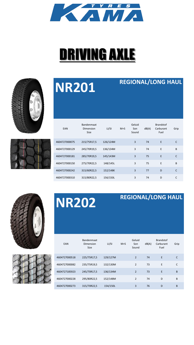

## DRIVING AXLE





## **NR201 REGIONAL/LONG HAUL**

| EAN           | Bandenmaat<br>Dimension<br><b>Size</b> | LI/SI    | $M+S$ | Geluid<br>Son<br>Sound | dB(A) | <b>Brandstof</b><br>Carburant<br>Fuel | Grip         |
|---------------|----------------------------------------|----------|-------|------------------------|-------|---------------------------------------|--------------|
| 4604727000075 | 215/75R17,5                            | 126/124M |       | 3                      | 74    | E                                     | C            |
| 4604727000129 | 245/70R19,5                            | 136/134M |       | 3                      | 74    | E                                     | B            |
| 4604727000181 | 285/70R19,5                            | 145/143M |       | 3                      | 75    | E                                     | $\mathsf{C}$ |
| 4604727000150 | 275/70R22,5                            | 148/145L |       | 3                      | 75    | E                                     | B            |
| 4604727000242 | 315/60R22,5                            | 152/148K |       | 3                      | 77    | D                                     | $\mathsf{C}$ |
| 4604727000310 | 315/80R22,5                            | 156/150L |       | 3                      | 74    | D                                     | C            |



## **NR202 REGIONAL/LONG HAUL**

| EAN           | Bandenmaat<br>Dimension<br><b>Size</b> | LI/SI    | $M+S$ | Geluid<br>Son<br>Sound | dB(A) | <b>Brandstof</b><br>Carburant<br>Fuel | Grip |
|---------------|----------------------------------------|----------|-------|------------------------|-------|---------------------------------------|------|
| 4604727000518 | 225/75R17,5                            | 129/127M |       | $\overline{2}$         | 74    | E                                     | C    |
| 4604727000082 | 235/75R19.5                            | 132/130M |       | $\overline{2}$         | 73    | E                                     | C    |
| 4604727185923 | 245/70R17,5                            | 136/134M |       | $\overline{2}$         | 73    | E                                     | B    |
| 4604727000228 | 295/80R22,5                            | 152/148M |       | $\overline{2}$         | 74    | D                                     | B    |
| 4604727000273 | 315/70R22,5                            | 154/150L |       | 3                      | 76    | D                                     | B    |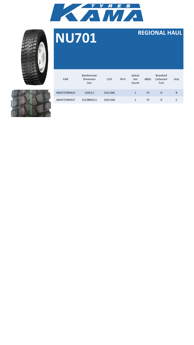





| EAN           | Bandenmaat<br>Dimension<br>Size | LI/SI    | $M+S$ | Geluid<br>Son<br>Sound | dB(A) | <b>Brandstof</b><br>Carburant<br>Fuel | Grip |
|---------------|---------------------------------|----------|-------|------------------------|-------|---------------------------------------|------|
| 4604727000419 | 12R22,5                         | 152/148L |       | $\mathbf{1}$           | 73    | D                                     | В    |
| 4604727000327 | 315/80R22,5                     | 156/150K |       | $\mathbf{1}$           | 74    | D                                     |      |

### **NU701 REGIONAL HAUL**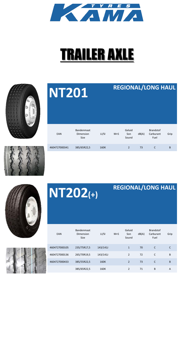

### TRAILER AXLE

| <b>NT201</b>  |                                        |       |       |                        |       | <b>REGIONAL/LONG HAUL</b>             |      |
|---------------|----------------------------------------|-------|-------|------------------------|-------|---------------------------------------|------|
| EAN           | Bandenmaat<br>Dimension<br><b>Size</b> | LI/SI | $M+S$ | Geluid<br>Son<br>Sound | dB(A) | <b>Brandstof</b><br>Carburant<br>Fuel | Grip |
| 4604727000341 | 385/65R22,5                            | 160K  |       | $\overline{2}$         | 73    | $\mathsf{C}$                          | B    |

**NT202(+)**









| EAN           | Bandenmaat<br>Dimension<br><b>Size</b> | LI/SI    | $M+S$ | Geluid<br>Son<br>Sound   | dB(A) | <b>Brandstof</b><br>Carburant<br>Fuel | Grip |
|---------------|----------------------------------------|----------|-------|--------------------------|-------|---------------------------------------|------|
| 4604727000105 | 235/75R17,5                            | 143/141J |       | $\mathbf{1}$             | 70    | C                                     | C    |
| 4604727000136 | 265/70R19,5                            | 143/141J |       | $\overline{2}$           | 72    | C                                     | B    |
| 4604727000433 | 385/55R22,5                            | 160K     |       | $\overline{\phantom{0}}$ | 73    | C                                     | B    |
|               | 385/65R22,5                            | 160K     |       | $\overline{2}$           | 71    | B                                     | A    |

**REGIONAL/LONG HAUL**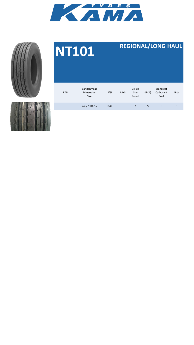



### EAN Bandenmaat Dimension Size LI/SI M+S Geluid Son Sound dB(A) Brandstof Carburant Fuel Grip 245/70R17,5 164K 2 72 C B

**NT101 REGIONAL/LONG HAUL**